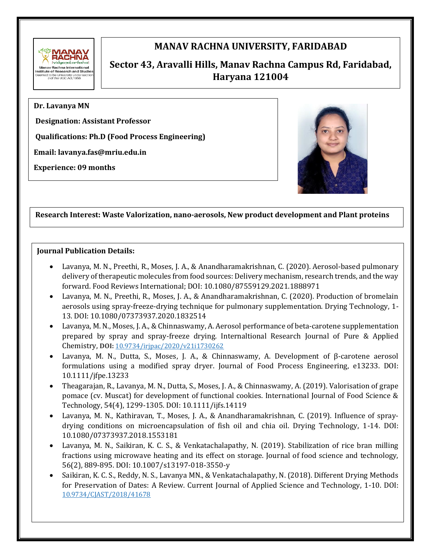

# **MANAV RACHNA UNIVERSITY, FARIDABAD**

# **Sector 43, Aravalli Hills, Manav Rachna Campus Rd, Faridabad, Haryana 121004**

**Dr. Lavanya MN**

**Designation: Assistant Professor**

**Qualifications: Ph.D (Food Process Engineering)** 

**Email: lavanya.fas@mriu.edu.in**

**Experience: 09 months**



# **Research Interest: Waste Valorization, nano-aerosols, New product development and Plant proteins**

#### **Journal Publication Details:**

- Lavanya, M. N., Preethi, R., Moses, J. A., & Anandharamakrishnan, C. (2020). Aerosol-based pulmonary delivery of therapeutic molecules from food sources: Delivery mechanism, research trends, and the way forward. Food Reviews International; DOI: 10.1080/87559129.2021.1888971
- Lavanya, M. N., Preethi, R., Moses, J. A., & Anandharamakrishnan, C. (2020). Production of bromelain aerosols using spray-freeze-drying technique for pulmonary supplementation. Drying Technology, 1- 13. DOI: 10.1080/07373937.2020.1832514
- Lavanya, M. N., Moses, J. A., & Chinnaswamy, A. Aerosol performance of beta-carotene supplementation prepared by spray and spray-freeze drying. Internaltional Research Journal of Pure & Applied Chemistry, **DOI:** [10.9734/irjpac/2020/v21i1730262](https://doi.org/10.9734/irjpac/2020/v21i1730262)
- Lavanya, M. N., Dutta, S., Moses, J. A., & Chinnaswamy, A. Development of β‐carotene aerosol formulations using a modified spray dryer. Journal of Food Process Engineering, e13233. DOI: 10.1111/jfpe.13233
- Theagarajan, R., Lavanya, M. N., Dutta, S., Moses, J. A., & Chinnaswamy, A. (2019). Valorisation of grape pomace (cv. Muscat) for development of functional cookies. International Journal of Food Science & Technology, 54(4), 1299-1305. DOI: 10.1111/ijfs.14119
- Lavanya, M. N., Kathiravan, T., Moses, J. A., & Anandharamakrishnan, C. (2019). Influence of spraydrying conditions on microencapsulation of fish oil and chia oil. Drying Technology, 1-14. DOI: 10.1080/07373937.2018.1553181
- Lavanya, M. N., Saikiran, K. C. S., & Venkatachalapathy, N. (2019). Stabilization of rice bran milling fractions using microwave heating and its effect on storage. Journal of food science and technology, 56(2), 889-895. DOI: 10.1007/s13197-018-3550-y
- Saikiran, K. C. S., Reddy, N. S., Lavanya MN., & Venkatachalapathy, N. (2018). Different Drying Methods for Preservation of Dates: A Review. Current Journal of Applied Science and Technology, 1-10. DOI: [10.9734/CJAST/2018/41678](https://doi.org/10.9734/CJAST/2018/41678)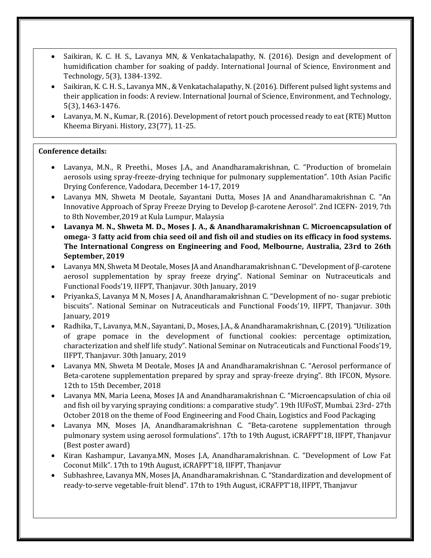- Saikiran, K. C. H. S., Lavanya MN, & Venkatachalapathy, N. (2016). Design and development of humidification chamber for soaking of paddy. International Journal of Science, Environment and Technology, 5(3), 1384-1392.
- Saikiran, K. C. H. S., Lavanya MN., & Venkatachalapathy, N. (2016). Different pulsed light systems and their application in foods: A review. International Journal of Science, Environment, and Technology, 5(3), 1463-1476.
- Lavanya, M. N., Kumar, R. (2016). Development of retort pouch processed ready to eat (RTE) Mutton Kheema Biryani. History, 23(77), 11-25.

# **Conference details:**

- Lavanya, M.N., R Preethi., Moses J.A., and Anandharamakrishnan, C. "Production of bromelain aerosols using spray-freeze-drying technique for pulmonary supplementation". 10th Asian Pacific Drying Conference, Vadodara, December 14-17, 2019
- Lavanya MN, Shweta M Deotale, Sayantani Dutta, Moses JA and Anandharamakrishnan C. "An Innovative Approach of Spray Freeze Drying to Develop β-carotene Aerosol". 2nd ICEFN- 2019, 7th to 8th November,2019 at Kula Lumpur, Malaysia
- **Lavanya M. N., Shweta M. D., Moses J. A., & Anandharamakrishnan C. Microencapsulation of omega- 3 fatty acid from chia seed oil and fish oil and studies on its efficacy in food systems. The International Congress on Engineering and Food, Melbourne, Australia, 23rd to 26th September, 2019**
- Lavanya MN, Shweta M Deotale, Moses JA and Anandharamakrishnan C. "Development of β-carotene aerosol supplementation by spray freeze drying". National Seminar on Nutraceuticals and Functional Foods'19, IIFPT, Thanjavur. 30th January, 2019
- Priyanka.S, Lavanya M N, Moses J A, Anandharamakrishnan C. "Development of no- sugar prebiotic biscuits". National Seminar on Nutraceuticals and Functional Foods'19, IIFPT, Thanjavur. 30th January, 2019
- Radhika, T., Lavanya, M.N., Sayantani, D., Moses, J.A., & Anandharamakrishnan, C. (2019). "Utilization of grape pomace in the development of functional cookies: percentage optimization, characterization and shelf life study". National Seminar on Nutraceuticals and Functional Foods'19, IIFPT, Thanjavur. 30th January, 2019
- Lavanya MN, Shweta M Deotale, Moses JA and Anandharamakrishnan C. "Aerosol performance of Beta-carotene supplementation prepared by spray and spray-freeze drying". 8th IFCON, Mysore. 12th to 15th December, 2018
- Lavanya MN, Maria Leena, Moses JA and Anandharamakrishnan C. "Microencapsulation of chia oil and fish oil by varying spraying conditions: a comparative study". 19th IUFoST, Mumbai. 23rd- 27th October 2018 on the theme of Food Engineering and Food Chain, Logistics and Food Packaging
- Lavanya MN, Moses JA, Anandharamakrishnan C. "Beta-carotene supplementation through pulmonary system using aerosol formulations". 17th to 19th August, iCRAFPT'18, IIFPT, Thanjavur (Best poster award)
- Kiran Kashampur, Lavanya.MN, Moses J.A, Anandharamakrishnan. C. "Development of Low Fat Coconut Milk". 17th to 19th August, iCRAFPT'18, IIFPT, Thanjavur
- Subhashree, Lavanya MN, Moses JA, Anandharamakrishnan. C. "Standardization and development of ready-to-serve vegetable-fruit blend". 17th to 19th August, iCRAFPT'18, IIFPT, Thanjavur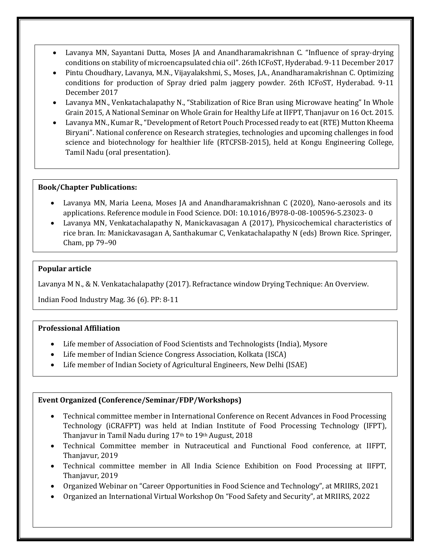- Lavanya MN, Sayantani Dutta, Moses JA and Anandharamakrishnan C. "Influence of spray-drying conditions on stability of microencapsulated chia oil". 26th ICFoST, Hyderabad. 9-11 December 2017
- Pintu Choudhary, Lavanya, M.N., Vijayalakshmi, S., Moses, J.A., Anandharamakrishnan C. Optimizing conditions for production of Spray dried palm jaggery powder. 26th ICFoST, Hyderabad. 9-11 December 2017
- Lavanya MN., Venkatachalapathy N., "Stabilization of Rice Bran using Microwave heating" In Whole Grain 2015, A National Seminar on Whole Grain for Healthy Life at IIFPT, Thanjavur on 16 Oct. 2015.
- Lavanya MN., Kumar R., "Development of Retort Pouch Processed ready to eat (RTE) Mutton Kheema Biryani". National conference on Research strategies, technologies and upcoming challenges in food science and biotechnology for healthier life (RTCFSB-2015), held at Kongu Engineering College, Tamil Nadu (oral presentation).

#### **Book/Chapter Publications:**

- Lavanya MN, Maria Leena, Moses JA and Anandharamakrishnan C (2020), Nano-aerosols and its applications. Reference module in Food Science. DOI: 10.1016/B978-0-08-100596-5.23023- 0
- Lavanya MN, Venkatachalapathy N, Manickavasagan A (2017), Physicochemical characteristics of rice bran. In: Manickavasagan A, Santhakumar C, Venkatachalapathy N (eds) Brown Rice. Springer, Cham, pp 79–90

## **Popular article**

Lavanya M N., & N. Venkatachalapathy (2017). Refractance window Drying Technique: An Overview.

Indian Food Industry Mag. 36 (6). PP: 8-11

## **Professional Affiliation**

- Life member of Association of Food Scientists and Technologists (India), Mysore
- Life member of Indian Science Congress Association, Kolkata (ISCA)
- Life member of Indian Society of Agricultural Engineers, New Delhi (ISAE)

#### **Event Organized (Conference/Seminar/FDP/Workshops)**

- Technical committee member in International Conference on Recent Advances in Food Processing Technology (iCRAFPT) was held at Indian Institute of Food Processing Technology (IFPT), Thanjavur in Tamil Nadu during 17th to 19th August, 2018
- Technical Committee member in Nutraceutical and Functional Food conference, at IIFPT, Thanjavur, 2019
- Technical committee member in All India Science Exhibition on Food Processing at IIFPT, Thanjavur, 2019
- Organized Webinar on "Career Opportunities in Food Science and Technology", at MRIIRS, 2021
- Organized an International Virtual Workshop On "Food Safety and Security", at MRIIRS, 2022